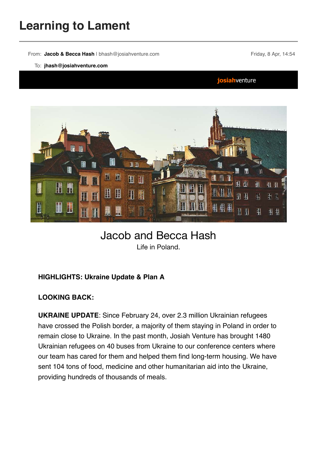# **Learning to Lament**

From: Jacob & Becca Hash | bhash@josiahventure.com Friday, 8 Apr, 14:54

#### To: **jhash@josiahventure.com**

josiahventure



## Jacob and Becca Hash Life in Poland.

### **HIGHLIGHTS: Ukraine Update & Plan A**

#### **LOOKING BACK:**

**UKRAINE UPDATE**: Since February 24, over 2.3 million Ukrainian refugees have crossed the Polish border, a majority of them staying in Poland in order to remain close to Ukraine. In the past month, Josiah Venture has brought 1480 Ukrainian refugees on 40 buses from Ukraine to our conference centers where our team has cared for them and helped them find long-term housing. We have sent 104 tons of food, medicine and other humanitarian aid into the Ukraine, providing hundreds of thousands of meals.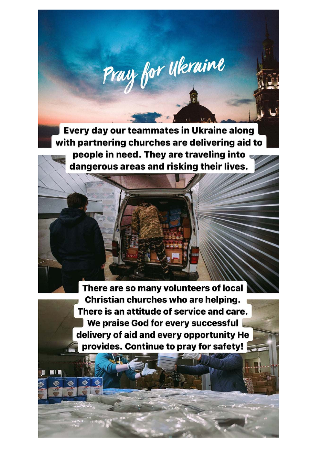Every day our teammates in Ukraine along with partnering churches are delivering aid to people in need. They are traveling into dangerous areas and risking their lives.

Pray for Ukraine

There are so many volunteers of local Christian churches who are helping. There is an attitude of service and care. We praise God for every successful delivery of aid and every opportunity He provides. Continue to pray for safety!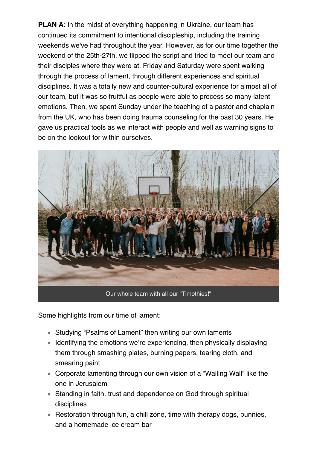**PLAN A:** In the midst of everything happening in Ukraine, our team has continued its commitment to intentional discipleship, including the training weekends we've had throughout the year. However, as for our time together the weekend of the 25th-27th, we flipped the script and tried to meet our team and their disciples where they were at. Friday and Saturday were spent walking through the process of lament, through different experiences and spiritual disciplines. It was a totally new and counter-cultural experience for almost all of our team, but it was so fruitful as people were able to process so many latent emotions. Then, we spent Sunday under the teaching of a pastor and chaplain from the UK, who has been doing trauma counseling for the past 30 years. He gave us practical tools as we interact with people and well as warning signs to be on the lookout for within ourselves.



Some highlights from our time of lament:

- Studying "Psalms of Lament" then writing our own laments
- Identifying the emotions we're experiencing, then physically displaying them through smashing plates, burning papers, tearing cloth, and smearing paint
- Corporate lamenting through our own vision of a "Wailing Wall" like the one in Jerusalem
- Standing in faith, trust and dependence on God through spiritual disciplines
- Restoration through fun, a chill zone, time with therapy dogs, bunnies, and a homemade ice cream bar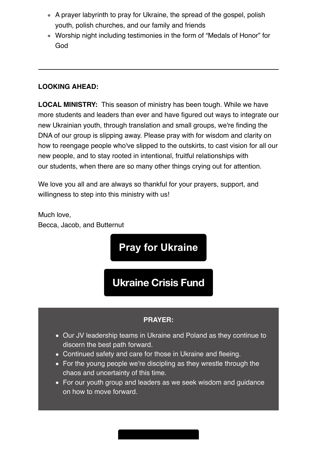- A prayer labyrinth to pray for Ukraine, the spread of the gospel, polish youth, polish churches, and our family and friends
- Worship night including testimonies in the form of "Medals of Honor" for God

### **LOOKING AHEAD:**

**LOCAL MINISTRY:** This season of ministry has been tough. While we have more students and leaders than ever and have figured out ways to integrate our new Ukrainian youth, through translation and small groups, we're finding the DNA of our group is slipping away. Please pray with for wisdom and clarity on how to reengage people who've slipped to the outskirts, to cast vision for all our new people, and to stay rooted in intentional, fruitful relationships with our students, when there are so many other things crying out for attention.

We love you all and are always so thankful for your prayers, support, and willingness to step into this ministry with us!

Much love, Becca, Jacob, and Butternut

**Pray for Ukraine**

**Ukraine Crisis Fund**

#### **PRAYER:**

- Our JV leadership teams in Ukraine and Poland as they continue to discern the best path forward.
- Continued safety and care for those in Ukraine and fleeing.
- For the young people we're discipling as they wrestle through the chaos and uncertainty of this time.
- For our youth group and leaders as we seek wisdom and guidance on how to move forward.